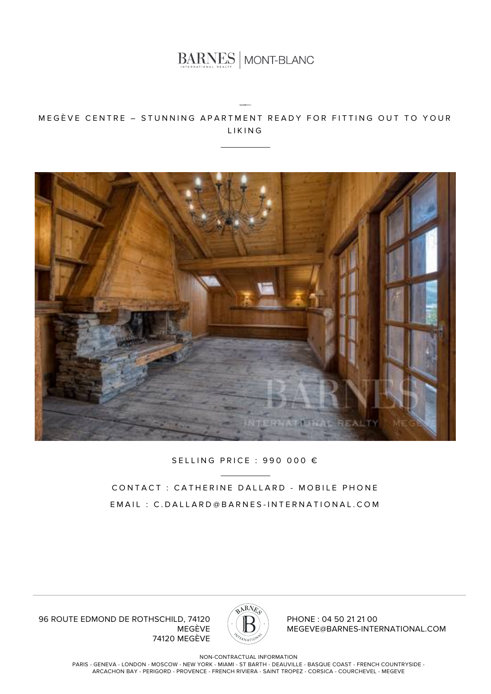

MEGÈVE CENTRE – STUNNING APARTMENT READY FOR FITTING OUT TO YOUR LIKING



SELLING PRICE : 990 000 €

CONTACT : CATHERINE DALLARD - MOBILE PHONE EMAIL : C.DALLARD@BARNES-INTERNATIONAL.COM



PHONE : 04 50 21 21 00 MEGEVE@BARNES-INTERNATIONAL.COM

96 ROUTE EDMOND DE ROTHSCHILD, 74120 MEGÈVE 74120 MEGÈVE

NON-CONTRACTUAL INFORMATION

PARIS - GENEVA - LONDON - MOSCOW - NEW YORK - MIAMI - ST BARTH - DEAUVILLE - BASQUE COAST - FRENCH COUNTRYSIDE - ARCACHON BAY - PERIGORD - PROVENCE - FRENCH RIVIERA - SAINT TROPEZ - CORSICA - COURCHEVEL - MEGEVE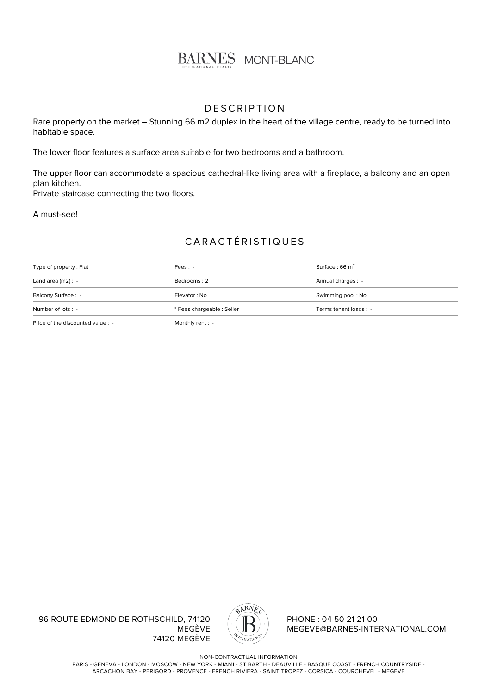

## **DESCRIPTION**

Rare property on the market – Stunning 66 m2 duplex in the heart of the village centre, ready to be turned into habitable space.

The lower floor features a surface area suitable for two bedrooms and a bathroom.

The upper floor can accommodate a spacious cathedral-like living area with a fireplace, a balcony and an open plan kitchen. Private staircase connecting the two floors.

A must-see!

## CARACTÉRISTIQUES

| Type of property : Flat | $Fees: -$                  | Surface: $66 \text{ m}^2$ |
|-------------------------|----------------------------|---------------------------|
| Land area $(m2)$ : -    | Bedrooms: 2                | Annual charges : -        |
| Balcony Surface : -     | Elevator: No               | Swimming pool: No         |
| Number of lots : -      | * Fees chargeable : Seller | Terms tenant loads : -    |
|                         |                            |                           |

Price of the discounted value : - Monthly rent : -

96 ROUTE EDMOND DE ROTHSCHILD, 74120 MEGÈVE 74120 MEGÈVE



PHONE : 04 50 21 21 00 MEGEVE@BARNES-INTERNATIONAL.COM

NON-CONTRACTUAL INFORMATION

PARIS - GENEVA - LONDON - MOSCOW - NEW YORK - MIAMI - ST BARTH - DEAUVILLE - BASQUE COAST - FRENCH COUNTRYSIDE - ARCACHON BAY - PERIGORD - PROVENCE - FRENCH RIVIERA - SAINT TROPEZ - CORSICA - COURCHEVEL - MEGEVE